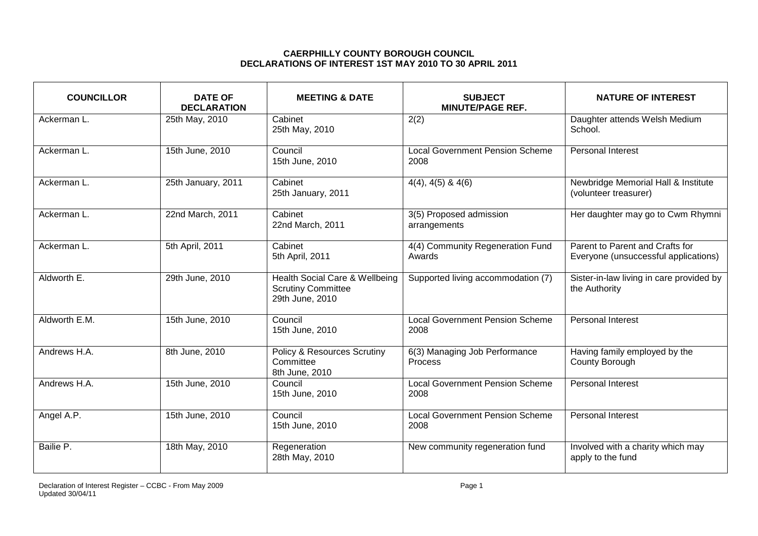## **CAERPHILLY COUNTY BOROUGH COUNCIL DECLARATIONS OF INTEREST 1ST MAY 2010 TO 30 APRIL 2011**

| <b>COUNCILLOR</b> | <b>DATE OF</b><br><b>DECLARATION</b> | <b>MEETING &amp; DATE</b>                                                      | <b>SUBJECT</b><br><b>MINUTE/PAGE REF.</b>      | <b>NATURE OF INTEREST</b>                                               |
|-------------------|--------------------------------------|--------------------------------------------------------------------------------|------------------------------------------------|-------------------------------------------------------------------------|
| Ackerman L.       | 25th May, 2010                       | Cabinet<br>25th May, 2010                                                      | 2(2)                                           | Daughter attends Welsh Medium<br>School.                                |
| Ackerman L.       | 15th June, 2010                      | Council<br>15th June, 2010                                                     | <b>Local Government Pension Scheme</b><br>2008 | <b>Personal Interest</b>                                                |
| Ackerman L.       | 25th January, 2011                   | Cabinet<br>25th January, 2011                                                  | $4(4)$ , $4(5)$ & $4(6)$                       | Newbridge Memorial Hall & Institute<br>(volunteer treasurer)            |
| Ackerman L.       | 22nd March, 2011                     | Cabinet<br>22nd March, 2011                                                    | 3(5) Proposed admission<br>arrangements        | Her daughter may go to Cwm Rhymni                                       |
| Ackerman L.       | 5th April, 2011                      | Cabinet<br>5th April, 2011                                                     | 4(4) Community Regeneration Fund<br>Awards     | Parent to Parent and Crafts for<br>Everyone (unsuccessful applications) |
| Aldworth E.       | 29th June, 2010                      | Health Social Care & Wellbeing<br><b>Scrutiny Committee</b><br>29th June, 2010 | Supported living accommodation (7)             | Sister-in-law living in care provided by<br>the Authority               |
| Aldworth E.M.     | 15th June, 2010                      | Council<br>15th June, 2010                                                     | <b>Local Government Pension Scheme</b><br>2008 | <b>Personal Interest</b>                                                |
| Andrews H.A.      | 8th June, 2010                       | <b>Policy &amp; Resources Scrutiny</b><br>Committee<br>8th June, 2010          | 6(3) Managing Job Performance<br>Process       | Having family employed by the<br>County Borough                         |
| Andrews H.A.      | 15th June, 2010                      | Council<br>15th June, 2010                                                     | <b>Local Government Pension Scheme</b><br>2008 | Personal Interest                                                       |
| Angel A.P.        | 15th June, 2010                      | Council<br>15th June, 2010                                                     | <b>Local Government Pension Scheme</b><br>2008 | Personal Interest                                                       |
| Bailie P.         | 18th May, 2010                       | Regeneration<br>28th May, 2010                                                 | New community regeneration fund                | Involved with a charity which may<br>apply to the fund                  |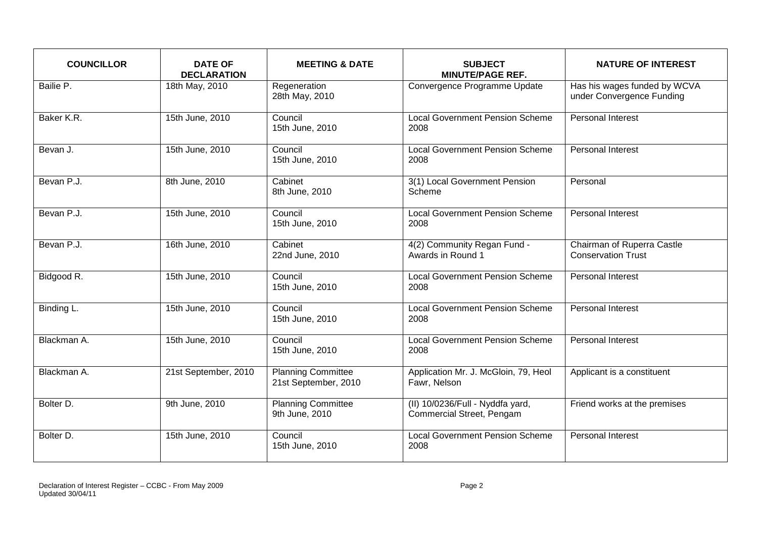| <b>COUNCILLOR</b> | <b>DATE OF</b><br><b>DECLARATION</b> | <b>MEETING &amp; DATE</b>                         | <b>SUBJECT</b><br><b>MINUTE/PAGE REF.</b>                            | <b>NATURE OF INTEREST</b>                                 |
|-------------------|--------------------------------------|---------------------------------------------------|----------------------------------------------------------------------|-----------------------------------------------------------|
| Bailie P.         | 18th May, 2010                       | Regeneration<br>28th May, 2010                    | Convergence Programme Update                                         | Has his wages funded by WCVA<br>under Convergence Funding |
| Baker K.R.        | 15th June, 2010                      | Council<br>15th June, 2010                        | <b>Local Government Pension Scheme</b><br>2008                       | <b>Personal Interest</b>                                  |
| Bevan J.          | 15th June, 2010                      | Council<br>15th June, 2010                        | <b>Local Government Pension Scheme</b><br>2008                       | Personal Interest                                         |
| Bevan P.J.        | 8th June, 2010                       | Cabinet<br>8th June, 2010                         | 3(1) Local Government Pension<br>Scheme                              | Personal                                                  |
| Bevan P.J.        | 15th June, 2010                      | Council<br>15th June, 2010                        | <b>Local Government Pension Scheme</b><br>2008                       | <b>Personal Interest</b>                                  |
| Bevan P.J.        | 16th June, 2010                      | Cabinet<br>22nd June, 2010                        | 4(2) Community Regan Fund -<br>Awards in Round 1                     | Chairman of Ruperra Castle<br><b>Conservation Trust</b>   |
| Bidgood R.        | 15th June, 2010                      | Council<br>15th June, 2010                        | <b>Local Government Pension Scheme</b><br>2008                       | Personal Interest                                         |
| Binding L.        | 15th June, 2010                      | Council<br>15th June, 2010                        | <b>Local Government Pension Scheme</b><br>2008                       | <b>Personal Interest</b>                                  |
| Blackman A.       | 15th June, 2010                      | Council<br>15th June, 2010                        | <b>Local Government Pension Scheme</b><br>2008                       | <b>Personal Interest</b>                                  |
| Blackman A.       | 21st September, 2010                 | <b>Planning Committee</b><br>21st September, 2010 | Application Mr. J. McGloin, 79, Heol<br>Fawr, Nelson                 | Applicant is a constituent                                |
| Bolter D.         | 9th June, 2010                       | <b>Planning Committee</b><br>9th June, 2010       | (II) 10/0236/Full - Nyddfa yard,<br><b>Commercial Street, Pengam</b> | Friend works at the premises                              |
| Bolter D.         | 15th June, 2010                      | Council<br>15th June, 2010                        | <b>Local Government Pension Scheme</b><br>2008                       | <b>Personal Interest</b>                                  |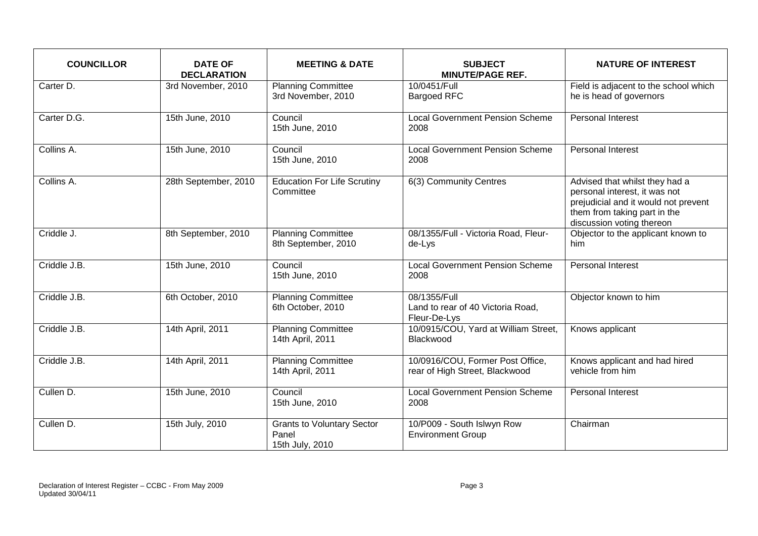| <b>COUNCILLOR</b> | <b>DATE OF</b><br><b>DECLARATION</b> | <b>MEETING &amp; DATE</b>                                     | <b>SUBJECT</b><br><b>MINUTE/PAGE REF.</b>                          | <b>NATURE OF INTEREST</b>                                                                                                                                            |
|-------------------|--------------------------------------|---------------------------------------------------------------|--------------------------------------------------------------------|----------------------------------------------------------------------------------------------------------------------------------------------------------------------|
| Carter D.         | 3rd November, 2010                   | <b>Planning Committee</b><br>3rd November, 2010               | 10/0451/Full<br><b>Bargoed RFC</b>                                 | Field is adjacent to the school which<br>he is head of governors                                                                                                     |
| Carter D.G.       | 15th June, 2010                      | Council<br>15th June, 2010                                    | <b>Local Government Pension Scheme</b><br>2008                     | <b>Personal Interest</b>                                                                                                                                             |
| Collins A.        | 15th June, 2010                      | Council<br>15th June, 2010                                    | <b>Local Government Pension Scheme</b><br>2008                     | Personal Interest                                                                                                                                                    |
| Collins A.        | 28th September, 2010                 | <b>Education For Life Scrutiny</b><br>Committee               | 6(3) Community Centres                                             | Advised that whilst they had a<br>personal interest, it was not<br>prejudicial and it would not prevent<br>them from taking part in the<br>discussion voting thereon |
| Criddle J.        | 8th September, 2010                  | <b>Planning Committee</b><br>8th September, 2010              | 08/1355/Full - Victoria Road, Fleur-<br>de-Lys                     | Objector to the applicant known to<br>him                                                                                                                            |
| Criddle J.B.      | 15th June, 2010                      | Council<br>15th June, 2010                                    | <b>Local Government Pension Scheme</b><br>2008                     | <b>Personal Interest</b>                                                                                                                                             |
| Criddle J.B.      | 6th October, 2010                    | <b>Planning Committee</b><br>6th October, 2010                | 08/1355/Full<br>Land to rear of 40 Victoria Road,<br>Fleur-De-Lys  | Objector known to him                                                                                                                                                |
| Criddle J.B.      | 14th April, 2011                     | <b>Planning Committee</b><br>14th April, 2011                 | 10/0915/COU, Yard at William Street,<br>Blackwood                  | Knows applicant                                                                                                                                                      |
| Criddle J.B.      | 14th April, 2011                     | <b>Planning Committee</b><br>14th April, 2011                 | 10/0916/COU, Former Post Office,<br>rear of High Street, Blackwood | Knows applicant and had hired<br>vehicle from him                                                                                                                    |
| Cullen D.         | 15th June, 2010                      | Council<br>15th June, 2010                                    | <b>Local Government Pension Scheme</b><br>2008                     | <b>Personal Interest</b>                                                                                                                                             |
| Cullen D.         | 15th July, 2010                      | <b>Grants to Voluntary Sector</b><br>Panel<br>15th July, 2010 | 10/P009 - South Islwyn Row<br><b>Environment Group</b>             | Chairman                                                                                                                                                             |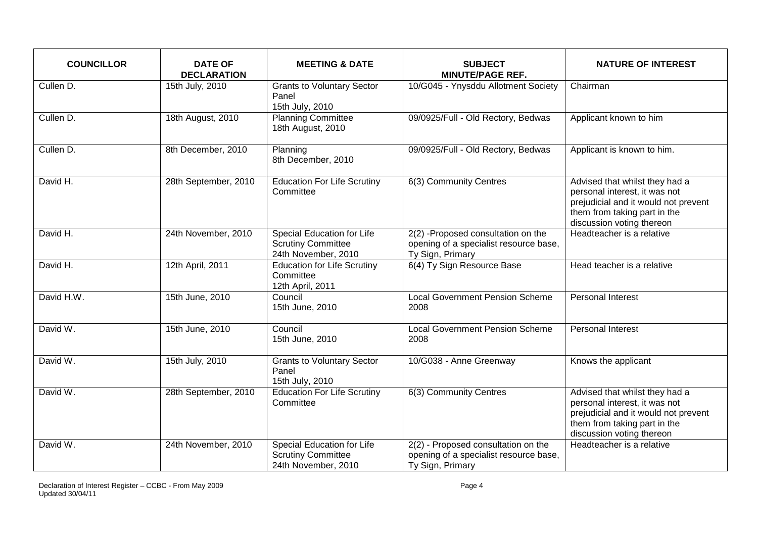| <b>COUNCILLOR</b> | <b>DATE OF</b><br><b>DECLARATION</b> | <b>MEETING &amp; DATE</b>                                                             | <b>SUBJECT</b><br><b>MINUTE/PAGE REF.</b>                                                         | <b>NATURE OF INTEREST</b>                                                                                                                                            |
|-------------------|--------------------------------------|---------------------------------------------------------------------------------------|---------------------------------------------------------------------------------------------------|----------------------------------------------------------------------------------------------------------------------------------------------------------------------|
| Cullen D.         | 15th July, 2010                      | <b>Grants to Voluntary Sector</b><br>Panel<br>15th July, 2010                         | 10/G045 - Ynysddu Allotment Society                                                               | Chairman                                                                                                                                                             |
| Cullen D.         | 18th August, 2010                    | <b>Planning Committee</b><br>18th August, 2010                                        | 09/0925/Full - Old Rectory, Bedwas                                                                | Applicant known to him                                                                                                                                               |
| Cullen D.         | 8th December, 2010                   | Planning<br>8th December, 2010                                                        | 09/0925/Full - Old Rectory, Bedwas                                                                | Applicant is known to him.                                                                                                                                           |
| David H.          | 28th September, 2010                 | Education For Life Scrutiny<br>Committee                                              | 6(3) Community Centres                                                                            | Advised that whilst they had a<br>personal interest, it was not<br>prejudicial and it would not prevent<br>them from taking part in the<br>discussion voting thereon |
| David H.          | 24th November, 2010                  | <b>Special Education for Life</b><br><b>Scrutiny Committee</b><br>24th November, 2010 | 2(2) -Proposed consultation on the<br>opening of a specialist resource base,<br>Ty Sign, Primary  | Headteacher is a relative                                                                                                                                            |
| David H.          | 12th April, 2011                     | <b>Education for Life Scrutiny</b><br>Committee<br>12th April, 2011                   | 6(4) Ty Sign Resource Base                                                                        | Head teacher is a relative                                                                                                                                           |
| David H.W.        | 15th June, 2010                      | Council<br>15th June, 2010                                                            | <b>Local Government Pension Scheme</b><br>2008                                                    | Personal Interest                                                                                                                                                    |
| David W.          | 15th June, 2010                      | Council<br>15th June, 2010                                                            | <b>Local Government Pension Scheme</b><br>2008                                                    | Personal Interest                                                                                                                                                    |
| David W.          | 15th July, 2010                      | <b>Grants to Voluntary Sector</b><br>Panel<br>15th July, 2010                         | 10/G038 - Anne Greenway                                                                           | Knows the applicant                                                                                                                                                  |
| David W.          | 28th September, 2010                 | <b>Education For Life Scrutiny</b><br>Committee                                       | 6(3) Community Centres                                                                            | Advised that whilst they had a<br>personal interest, it was not<br>prejudicial and it would not prevent<br>them from taking part in the<br>discussion voting thereon |
| David W.          | 24th November, 2010                  | Special Education for Life<br><b>Scrutiny Committee</b><br>24th November, 2010        | 2(2) - Proposed consultation on the<br>opening of a specialist resource base,<br>Ty Sign, Primary | Headteacher is a relative                                                                                                                                            |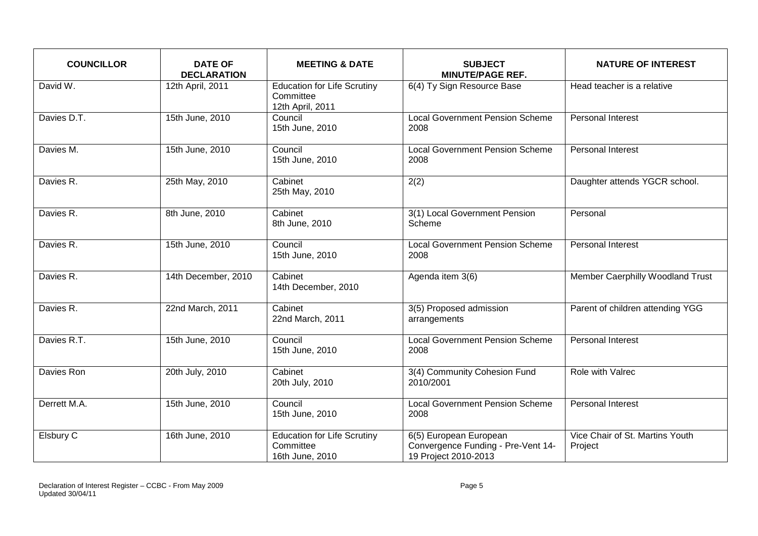| <b>COUNCILLOR</b> | <b>DATE OF</b><br><b>DECLARATION</b> | <b>MEETING &amp; DATE</b>                                           | <b>SUBJECT</b><br><b>MINUTE/PAGE REF.</b>                                            | <b>NATURE OF INTEREST</b>                  |
|-------------------|--------------------------------------|---------------------------------------------------------------------|--------------------------------------------------------------------------------------|--------------------------------------------|
| David W.          | 12th April, 2011                     | <b>Education for Life Scrutiny</b><br>Committee<br>12th April, 2011 | 6(4) Ty Sign Resource Base                                                           | Head teacher is a relative                 |
| Davies D.T.       | 15th June, 2010                      | Council<br>15th June, 2010                                          | <b>Local Government Pension Scheme</b><br>2008                                       | Personal Interest                          |
| Davies M.         | 15th June, 2010                      | Council<br>15th June, 2010                                          | <b>Local Government Pension Scheme</b><br>2008                                       | Personal Interest                          |
| Davies R.         | 25th May, 2010                       | Cabinet<br>25th May, 2010                                           | 2(2)                                                                                 | Daughter attends YGCR school.              |
| Davies R.         | 8th June, 2010                       | Cabinet<br>8th June, 2010                                           | 3(1) Local Government Pension<br>Scheme                                              | Personal                                   |
| Davies R.         | 15th June, 2010                      | Council<br>15th June, 2010                                          | <b>Local Government Pension Scheme</b><br>2008                                       | Personal Interest                          |
| Davies R.         | 14th December, 2010                  | Cabinet<br>14th December, 2010                                      | Agenda item 3(6)                                                                     | Member Caerphilly Woodland Trust           |
| Davies R.         | 22nd March, 2011                     | Cabinet<br>22nd March, 2011                                         | 3(5) Proposed admission<br>arrangements                                              | Parent of children attending YGG           |
| Davies R.T.       | 15th June, 2010                      | Council<br>15th June, 2010                                          | <b>Local Government Pension Scheme</b><br>2008                                       | Personal Interest                          |
| Davies Ron        | 20th July, 2010                      | Cabinet<br>20th July, 2010                                          | 3(4) Community Cohesion Fund<br>2010/2001                                            | Role with Valrec                           |
| Derrett M.A.      | 15th June, 2010                      | Council<br>15th June, 2010                                          | <b>Local Government Pension Scheme</b><br>2008                                       | <b>Personal Interest</b>                   |
| Elsbury C         | 16th June, 2010                      | Education for Life Scrutiny<br>Committee<br>16th June, 2010         | 6(5) European European<br>Convergence Funding - Pre-Vent 14-<br>19 Project 2010-2013 | Vice Chair of St. Martins Youth<br>Project |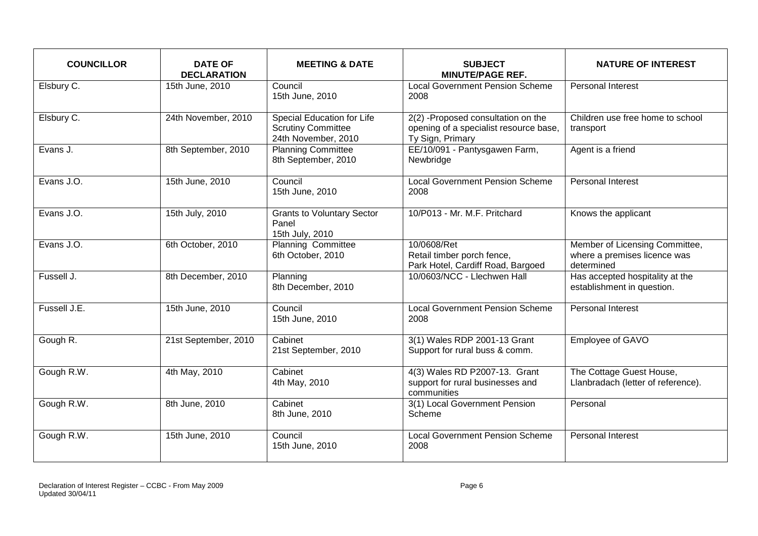| <b>COUNCILLOR</b> | <b>DATE OF</b><br><b>DECLARATION</b> | <b>MEETING &amp; DATE</b>                                                      | <b>SUBJECT</b><br><b>MINUTE/PAGE REF.</b>                                                        | <b>NATURE OF INTEREST</b>                                                    |
|-------------------|--------------------------------------|--------------------------------------------------------------------------------|--------------------------------------------------------------------------------------------------|------------------------------------------------------------------------------|
| Elsbury C.        | 15th June, 2010                      | Council<br>15th June, 2010                                                     | <b>Local Government Pension Scheme</b><br>2008                                                   | Personal Interest                                                            |
| Elsbury C.        | 24th November, 2010                  | Special Education for Life<br><b>Scrutiny Committee</b><br>24th November, 2010 | 2(2) -Proposed consultation on the<br>opening of a specialist resource base,<br>Ty Sign, Primary | Children use free home to school<br>transport                                |
| Evans J.          | 8th September, 2010                  | <b>Planning Committee</b><br>8th September, 2010                               | EE/10/091 - Pantysgawen Farm,<br>Newbridge                                                       | Agent is a friend                                                            |
| Evans J.O.        | 15th June, 2010                      | Council<br>15th June, 2010                                                     | <b>Local Government Pension Scheme</b><br>2008                                                   | Personal Interest                                                            |
| Evans J.O.        | 15th July, 2010                      | <b>Grants to Voluntary Sector</b><br>Panel<br>15th July, 2010                  | 10/P013 - Mr. M.F. Pritchard                                                                     | Knows the applicant                                                          |
| Evans J.O.        | 6th October, 2010                    | <b>Planning Committee</b><br>6th October, 2010                                 | 10/0608/Ret<br>Retail timber porch fence,<br>Park Hotel, Cardiff Road, Bargoed                   | Member of Licensing Committee,<br>where a premises licence was<br>determined |
| Fussell J.        | 8th December, 2010                   | Planning<br>8th December, 2010                                                 | 10/0603/NCC - Llechwen Hall                                                                      | Has accepted hospitality at the<br>establishment in question.                |
| Fussell J.E.      | 15th June, 2010                      | Council<br>15th June, 2010                                                     | <b>Local Government Pension Scheme</b><br>2008                                                   | <b>Personal Interest</b>                                                     |
| Gough R.          | 21st September, 2010                 | Cabinet<br>21st September, 2010                                                | 3(1) Wales RDP 2001-13 Grant<br>Support for rural buss & comm.                                   | Employee of GAVO                                                             |
| Gough R.W.        | 4th May, 2010                        | Cabinet<br>4th May, 2010                                                       | 4(3) Wales RD P2007-13. Grant<br>support for rural businesses and<br>communities                 | The Cottage Guest House,<br>Llanbradach (letter of reference).               |
| Gough R.W.        | 8th June, 2010                       | Cabinet<br>8th June, 2010                                                      | 3(1) Local Government Pension<br>Scheme                                                          | Personal                                                                     |
| Gough R.W.        | 15th June, 2010                      | Council<br>15th June, 2010                                                     | <b>Local Government Pension Scheme</b><br>2008                                                   | <b>Personal Interest</b>                                                     |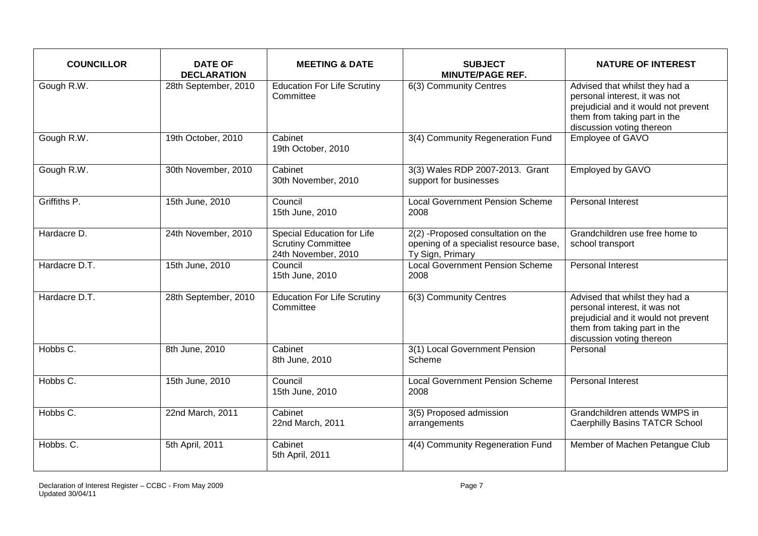| <b>COUNCILLOR</b> | <b>DATE OF</b><br><b>DECLARATION</b> | <b>MEETING &amp; DATE</b>                                                             | <b>SUBJECT</b><br><b>MINUTE/PAGE REF.</b>                                                        | <b>NATURE OF INTEREST</b>                                                                                                                                            |
|-------------------|--------------------------------------|---------------------------------------------------------------------------------------|--------------------------------------------------------------------------------------------------|----------------------------------------------------------------------------------------------------------------------------------------------------------------------|
| Gough R.W.        | 28th September, 2010                 | <b>Education For Life Scrutiny</b><br>Committee                                       | 6(3) Community Centres                                                                           | Advised that whilst they had a<br>personal interest, it was not<br>prejudicial and it would not prevent<br>them from taking part in the<br>discussion voting thereon |
| Gough R.W.        | 19th October, 2010                   | Cabinet<br>19th October, 2010                                                         | 3(4) Community Regeneration Fund                                                                 | Employee of GAVO                                                                                                                                                     |
| Gough R.W.        | 30th November, 2010                  | Cabinet<br>30th November, 2010                                                        | 3(3) Wales RDP 2007-2013. Grant<br>support for businesses                                        | <b>Employed by GAVO</b>                                                                                                                                              |
| Griffiths P.      | 15th June, 2010                      | Council<br>15th June, 2010                                                            | <b>Local Government Pension Scheme</b><br>2008                                                   | <b>Personal Interest</b>                                                                                                                                             |
| Hardacre D.       | 24th November, 2010                  | <b>Special Education for Life</b><br><b>Scrutiny Committee</b><br>24th November, 2010 | 2(2) -Proposed consultation on the<br>opening of a specialist resource base,<br>Ty Sign, Primary | Grandchildren use free home to<br>school transport                                                                                                                   |
| Hardacre D.T.     | 15th June, 2010                      | Council<br>15th June, 2010                                                            | <b>Local Government Pension Scheme</b><br>2008                                                   | Personal Interest                                                                                                                                                    |
| Hardacre D.T.     | 28th September, 2010                 | <b>Education For Life Scrutiny</b><br>Committee                                       | 6(3) Community Centres                                                                           | Advised that whilst they had a<br>personal interest, it was not<br>prejudicial and it would not prevent<br>them from taking part in the<br>discussion voting thereon |
| Hobbs C.          | 8th June, 2010                       | Cabinet<br>8th June, 2010                                                             | 3(1) Local Government Pension<br>Scheme                                                          | Personal                                                                                                                                                             |
| Hobbs C.          | 15th June, 2010                      | Council<br>15th June, 2010                                                            | <b>Local Government Pension Scheme</b><br>2008                                                   | Personal Interest                                                                                                                                                    |
| Hobbs C.          | 22nd March, 2011                     | Cabinet<br>22nd March, 2011                                                           | 3(5) Proposed admission<br>arrangements                                                          | Grandchildren attends WMPS in<br><b>Caerphilly Basins TATCR School</b>                                                                                               |
| Hobbs. C.         | 5th April, 2011                      | Cabinet<br>5th April, 2011                                                            | 4(4) Community Regeneration Fund                                                                 | Member of Machen Petangue Club                                                                                                                                       |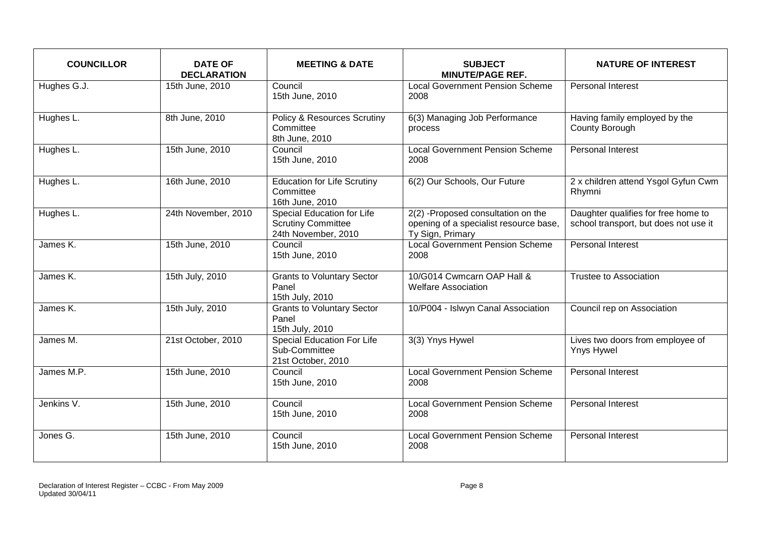| <b>COUNCILLOR</b> | <b>DATE OF</b><br><b>DECLARATION</b> | <b>MEETING &amp; DATE</b>                                                      | <b>SUBJECT</b><br><b>MINUTE/PAGE REF.</b>                                                        | <b>NATURE OF INTEREST</b>                                                    |
|-------------------|--------------------------------------|--------------------------------------------------------------------------------|--------------------------------------------------------------------------------------------------|------------------------------------------------------------------------------|
| Hughes G.J.       | 15th June, 2010                      | Council<br>15th June, 2010                                                     | <b>Local Government Pension Scheme</b><br>2008                                                   | Personal Interest                                                            |
| Hughes L.         | 8th June, 2010                       | <b>Policy &amp; Resources Scrutiny</b><br>Committee<br>8th June, 2010          | 6(3) Managing Job Performance<br>process                                                         | Having family employed by the<br>County Borough                              |
| Hughes L.         | 15th June, 2010                      | Council<br>15th June, 2010                                                     | <b>Local Government Pension Scheme</b><br>2008                                                   | Personal Interest                                                            |
| Hughes L.         | 16th June, 2010                      | Education for Life Scrutiny<br>Committee<br>16th June, 2010                    | 6(2) Our Schools, Our Future                                                                     | 2 x children attend Ysgol Gyfun Cwm<br>Rhymni                                |
| Hughes L.         | 24th November, 2010                  | Special Education for Life<br><b>Scrutiny Committee</b><br>24th November, 2010 | 2(2) -Proposed consultation on the<br>opening of a specialist resource base,<br>Ty Sign, Primary | Daughter qualifies for free home to<br>school transport, but does not use it |
| James K.          | 15th June, 2010                      | Council<br>15th June, 2010                                                     | <b>Local Government Pension Scheme</b><br>2008                                                   | <b>Personal Interest</b>                                                     |
| James K.          | 15th July, 2010                      | <b>Grants to Voluntary Sector</b><br>Panel<br>15th July, 2010                  | 10/G014 Cwmcarn OAP Hall &<br><b>Welfare Association</b>                                         | <b>Trustee to Association</b>                                                |
| James K.          | 15th July, 2010                      | <b>Grants to Voluntary Sector</b><br>Panel<br>15th July, 2010                  | 10/P004 - Islwyn Canal Association                                                               | Council rep on Association                                                   |
| James M.          | 21st October, 2010                   | Special Education For Life<br>Sub-Committee<br>21st October, 2010              | 3(3) Ynys Hywel                                                                                  | Lives two doors from employee of<br><b>Ynys Hywel</b>                        |
| James M.P.        | 15th June, 2010                      | Council<br>15th June, 2010                                                     | <b>Local Government Pension Scheme</b><br>2008                                                   | Personal Interest                                                            |
| Jenkins V.        | 15th June, 2010                      | Council<br>15th June, 2010                                                     | <b>Local Government Pension Scheme</b><br>2008                                                   | <b>Personal Interest</b>                                                     |
| Jones G.          | 15th June, 2010                      | Council<br>15th June, 2010                                                     | <b>Local Government Pension Scheme</b><br>2008                                                   | <b>Personal Interest</b>                                                     |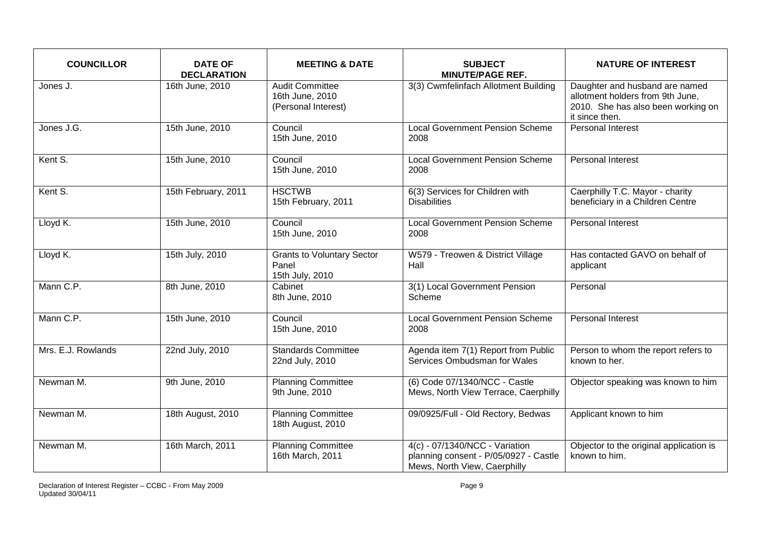| <b>COUNCILLOR</b>  | <b>DATE OF</b><br><b>DECLARATION</b> | <b>MEETING &amp; DATE</b>                                        | <b>SUBJECT</b><br><b>MINUTE/PAGE REF.</b>                                                               | <b>NATURE OF INTEREST</b>                                                                                                  |
|--------------------|--------------------------------------|------------------------------------------------------------------|---------------------------------------------------------------------------------------------------------|----------------------------------------------------------------------------------------------------------------------------|
| Jones J.           | 16th June, 2010                      | <b>Audit Committee</b><br>16th June, 2010<br>(Personal Interest) | 3(3) Cwmfelinfach Allotment Building                                                                    | Daughter and husband are named<br>allotment holders from 9th June,<br>2010. She has also been working on<br>it since then. |
| Jones J.G.         | 15th June, 2010                      | Council<br>15th June, 2010                                       | <b>Local Government Pension Scheme</b><br>2008                                                          | Personal Interest                                                                                                          |
| Kent S.            | 15th June, 2010                      | Council<br>15th June, 2010                                       | <b>Local Government Pension Scheme</b><br>2008                                                          | <b>Personal Interest</b>                                                                                                   |
| Kent S.            | 15th February, 2011                  | <b>HSCTWB</b><br>15th February, 2011                             | 6(3) Services for Children with<br><b>Disabilities</b>                                                  | Caerphilly T.C. Mayor - charity<br>beneficiary in a Children Centre                                                        |
| Lloyd K.           | 15th June, 2010                      | Council<br>15th June, 2010                                       | <b>Local Government Pension Scheme</b><br>2008                                                          | Personal Interest                                                                                                          |
| Lloyd K.           | 15th July, 2010                      | <b>Grants to Voluntary Sector</b><br>Panel<br>15th July, 2010    | W579 - Treowen & District Village<br>Hall                                                               | Has contacted GAVO on behalf of<br>applicant                                                                               |
| Mann C.P.          | 8th June, 2010                       | Cabinet<br>8th June, 2010                                        | 3(1) Local Government Pension<br>Scheme                                                                 | Personal                                                                                                                   |
| Mann C.P.          | 15th June, 2010                      | Council<br>15th June, 2010                                       | <b>Local Government Pension Scheme</b><br>2008                                                          | Personal Interest                                                                                                          |
| Mrs. E.J. Rowlands | 22nd July, 2010                      | <b>Standards Committee</b><br>22nd July, 2010                    | Agenda item 7(1) Report from Public<br>Services Ombudsman for Wales                                     | Person to whom the report refers to<br>known to her.                                                                       |
| Newman M.          | 9th June, 2010                       | <b>Planning Committee</b><br>9th June, 2010                      | (6) Code 07/1340/NCC - Castle<br>Mews, North View Terrace, Caerphilly                                   | Objector speaking was known to him                                                                                         |
| Newman M.          | 18th August, 2010                    | <b>Planning Committee</b><br>18th August, 2010                   | 09/0925/Full - Old Rectory, Bedwas                                                                      | Applicant known to him                                                                                                     |
| Newman M.          | 16th March, 2011                     | <b>Planning Committee</b><br>16th March, 2011                    | 4(c) - 07/1340/NCC - Variation<br>planning consent - P/05/0927 - Castle<br>Mews, North View, Caerphilly | Objector to the original application is<br>known to him.                                                                   |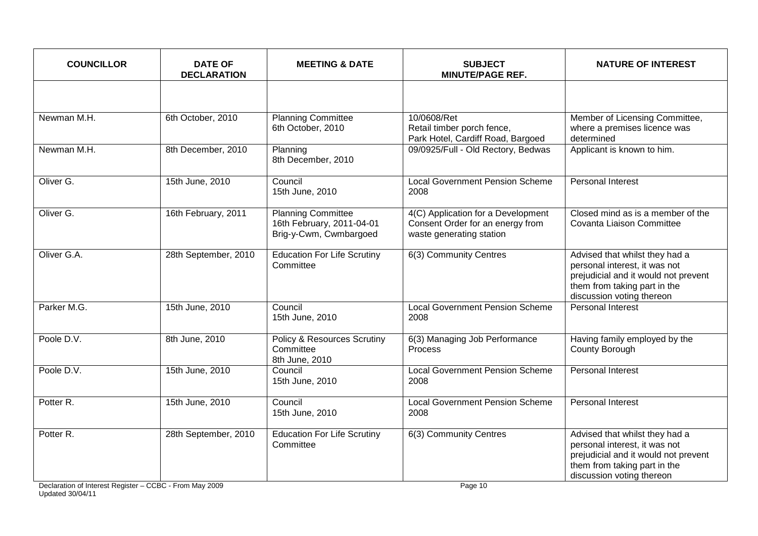| <b>COUNCILLOR</b>    | <b>DATE OF</b><br><b>DECLARATION</b> | <b>MEETING &amp; DATE</b>                                                        | <b>SUBJECT</b><br><b>MINUTE/PAGE REF.</b>                                                          | <b>NATURE OF INTEREST</b>                                                                                                                                            |
|----------------------|--------------------------------------|----------------------------------------------------------------------------------|----------------------------------------------------------------------------------------------------|----------------------------------------------------------------------------------------------------------------------------------------------------------------------|
|                      |                                      |                                                                                  |                                                                                                    |                                                                                                                                                                      |
| Newman M.H.          | 6th October, 2010                    | <b>Planning Committee</b><br>6th October, 2010                                   | 10/0608/Ret<br>Retail timber porch fence,<br>Park Hotel, Cardiff Road, Bargoed                     | Member of Licensing Committee,<br>where a premises licence was<br>determined                                                                                         |
| Newman M.H.          | 8th December, 2010                   | Planning<br>8th December, 2010                                                   | 09/0925/Full - Old Rectory, Bedwas                                                                 | Applicant is known to him.                                                                                                                                           |
| Oliver G.            | 15th June, 2010                      | Council<br>15th June, 2010                                                       | <b>Local Government Pension Scheme</b><br>2008                                                     | <b>Personal Interest</b>                                                                                                                                             |
| Oliver G.            | 16th February, 2011                  | <b>Planning Committee</b><br>16th February, 2011-04-01<br>Brig-y-Cwm, Cwmbargoed | 4(C) Application for a Development<br>Consent Order for an energy from<br>waste generating station | Closed mind as is a member of the<br>Covanta Liaison Committee                                                                                                       |
| Oliver G.A.          | 28th September, 2010                 | <b>Education For Life Scrutiny</b><br>Committee                                  | 6(3) Community Centres                                                                             | Advised that whilst they had a<br>personal interest, it was not<br>prejudicial and it would not prevent<br>them from taking part in the<br>discussion voting thereon |
| Parker M.G.          | 15th June, 2010                      | Council<br>15th June, 2010                                                       | <b>Local Government Pension Scheme</b><br>2008                                                     | <b>Personal Interest</b>                                                                                                                                             |
| Poole D.V.           | 8th June, 2010                       | Policy & Resources Scrutiny<br>Committee<br>8th June, 2010                       | 6(3) Managing Job Performance<br>Process                                                           | Having family employed by the<br>County Borough                                                                                                                      |
| Poole D.V.           | 15th June, 2010                      | Council<br>15th June, 2010                                                       | <b>Local Government Pension Scheme</b><br>2008                                                     | <b>Personal Interest</b>                                                                                                                                             |
| Potter <sub>R.</sub> | 15th June, 2010                      | Council<br>15th June, 2010                                                       | <b>Local Government Pension Scheme</b><br>2008                                                     | <b>Personal Interest</b>                                                                                                                                             |
| Potter R.            | 28th September, 2010                 | <b>Education For Life Scrutiny</b><br>Committee                                  | 6(3) Community Centres                                                                             | Advised that whilst they had a<br>personal interest, it was not<br>prejudicial and it would not prevent<br>them from taking part in the<br>discussion voting thereon |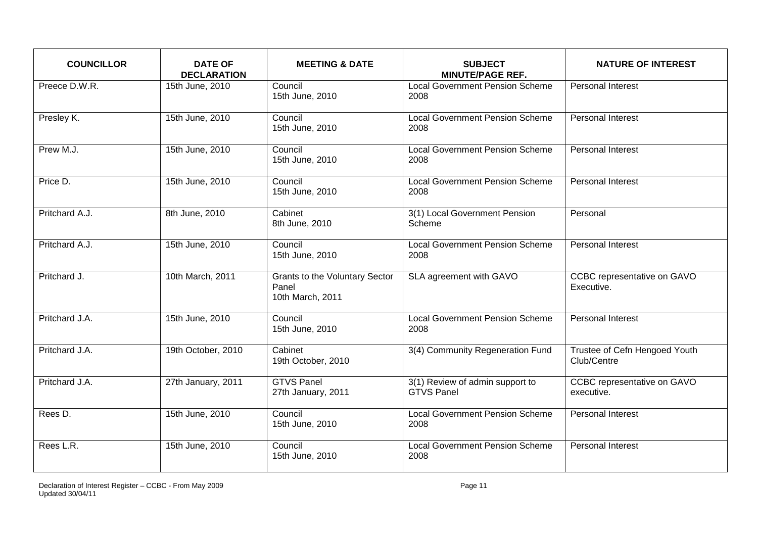| <b>COUNCILLOR</b> | <b>DATE OF</b><br><b>DECLARATION</b> | <b>MEETING &amp; DATE</b>                                   | <b>SUBJECT</b><br><b>MINUTE/PAGE REF.</b>            | <b>NATURE OF INTEREST</b>                    |
|-------------------|--------------------------------------|-------------------------------------------------------------|------------------------------------------------------|----------------------------------------------|
| Preece D.W.R.     | 15th June, 2010                      | Council<br>15th June, 2010                                  | <b>Local Government Pension Scheme</b><br>2008       | Personal Interest                            |
| Presley K.        | 15th June, 2010                      | Council<br>15th June, 2010                                  | <b>Local Government Pension Scheme</b><br>2008       | Personal Interest                            |
| Prew M.J.         | 15th June, 2010                      | Council<br>15th June, 2010                                  | <b>Local Government Pension Scheme</b><br>2008       | Personal Interest                            |
| Price D.          | 15th June, 2010                      | Council<br>15th June, 2010                                  | <b>Local Government Pension Scheme</b><br>2008       | Personal Interest                            |
| Pritchard A.J.    | 8th June, 2010                       | Cabinet<br>8th June, 2010                                   | 3(1) Local Government Pension<br>Scheme              | Personal                                     |
| Pritchard A.J.    | 15th June, 2010                      | Council<br>15th June, 2010                                  | <b>Local Government Pension Scheme</b><br>2008       | Personal Interest                            |
| Pritchard J.      | 10th March, 2011                     | Grants to the Voluntary Sector<br>Panel<br>10th March, 2011 | SLA agreement with GAVO                              | CCBC representative on GAVO<br>Executive.    |
| Pritchard J.A.    | 15th June, 2010                      | Council<br>15th June, 2010                                  | <b>Local Government Pension Scheme</b><br>2008       | <b>Personal Interest</b>                     |
| Pritchard J.A.    | 19th October, 2010                   | Cabinet<br>19th October, 2010                               | 3(4) Community Regeneration Fund                     | Trustee of Cefn Hengoed Youth<br>Club/Centre |
| Pritchard J.A.    | 27th January, 2011                   | <b>GTVS Panel</b><br>27th January, 2011                     | 3(1) Review of admin support to<br><b>GTVS Panel</b> | CCBC representative on GAVO<br>executive.    |
| Rees D.           | 15th June, 2010                      | Council<br>15th June, 2010                                  | <b>Local Government Pension Scheme</b><br>2008       | Personal Interest                            |
| Rees L.R.         | 15th June, 2010                      | Council<br>15th June, 2010                                  | <b>Local Government Pension Scheme</b><br>2008       | Personal Interest                            |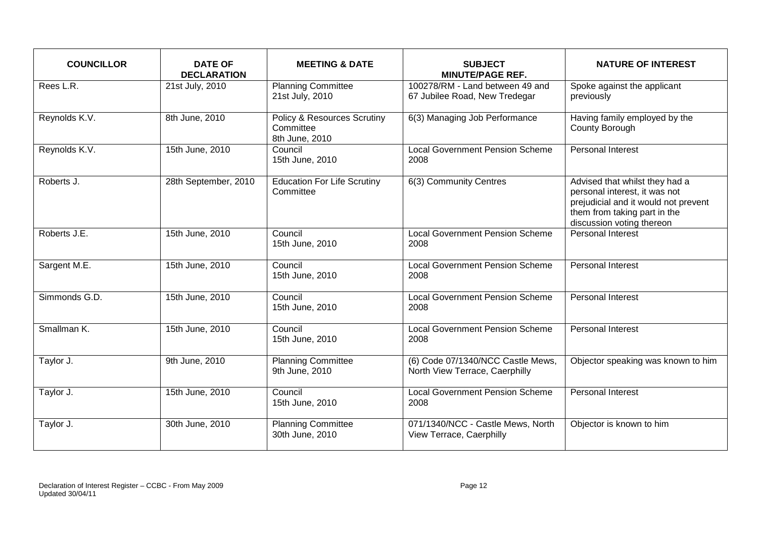| <b>COUNCILLOR</b> | <b>DATE OF</b><br><b>DECLARATION</b> | <b>MEETING &amp; DATE</b>                                             | <b>SUBJECT</b><br><b>MINUTE/PAGE REF.</b>                           | <b>NATURE OF INTEREST</b>                                                                                                                                            |
|-------------------|--------------------------------------|-----------------------------------------------------------------------|---------------------------------------------------------------------|----------------------------------------------------------------------------------------------------------------------------------------------------------------------|
| Rees L.R.         | 21st July, 2010                      | <b>Planning Committee</b><br>21st July, 2010                          | 100278/RM - Land between 49 and<br>67 Jubilee Road, New Tredegar    | Spoke against the applicant<br>previously                                                                                                                            |
| Reynolds K.V.     | 8th June, 2010                       | <b>Policy &amp; Resources Scrutiny</b><br>Committee<br>8th June, 2010 | 6(3) Managing Job Performance                                       | Having family employed by the<br>County Borough                                                                                                                      |
| Reynolds K.V.     | 15th June, 2010                      | Council<br>15th June, 2010                                            | <b>Local Government Pension Scheme</b><br>2008                      | <b>Personal Interest</b>                                                                                                                                             |
| Roberts J.        | 28th September, 2010                 | <b>Education For Life Scrutiny</b><br>Committee                       | 6(3) Community Centres                                              | Advised that whilst they had a<br>personal interest, it was not<br>prejudicial and it would not prevent<br>them from taking part in the<br>discussion voting thereon |
| Roberts J.E.      | 15th June, 2010                      | Council<br>15th June, 2010                                            | <b>Local Government Pension Scheme</b><br>2008                      | <b>Personal Interest</b>                                                                                                                                             |
| Sargent M.E.      | 15th June, 2010                      | Council<br>15th June, 2010                                            | <b>Local Government Pension Scheme</b><br>2008                      | Personal Interest                                                                                                                                                    |
| Simmonds G.D.     | 15th June, 2010                      | Council<br>15th June, 2010                                            | <b>Local Government Pension Scheme</b><br>2008                      | Personal Interest                                                                                                                                                    |
| Smallman K.       | 15th June, 2010                      | Council<br>15th June, 2010                                            | <b>Local Government Pension Scheme</b><br>2008                      | Personal Interest                                                                                                                                                    |
| Taylor J.         | 9th June, 2010                       | <b>Planning Committee</b><br>9th June, 2010                           | (6) Code 07/1340/NCC Castle Mews,<br>North View Terrace, Caerphilly | Objector speaking was known to him                                                                                                                                   |
| Taylor J.         | 15th June, 2010                      | Council<br>15th June, 2010                                            | <b>Local Government Pension Scheme</b><br>2008                      | <b>Personal Interest</b>                                                                                                                                             |
| Taylor J.         | 30th June, 2010                      | <b>Planning Committee</b><br>30th June, 2010                          | 071/1340/NCC - Castle Mews, North<br>View Terrace, Caerphilly       | Objector is known to him                                                                                                                                             |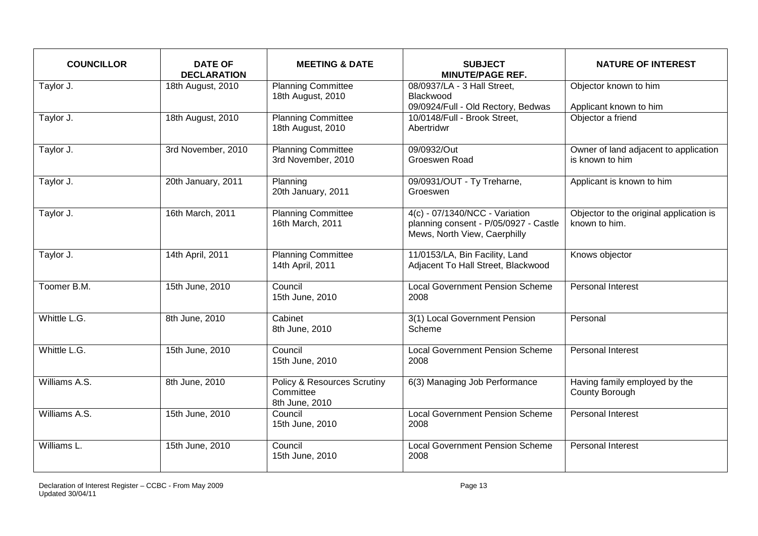| <b>COUNCILLOR</b> | <b>DATE OF</b><br><b>DECLARATION</b> | <b>MEETING &amp; DATE</b>                                             | <b>SUBJECT</b><br><b>MINUTE/PAGE REF.</b>                                                               | <b>NATURE OF INTEREST</b>                                |
|-------------------|--------------------------------------|-----------------------------------------------------------------------|---------------------------------------------------------------------------------------------------------|----------------------------------------------------------|
| Taylor J.         | 18th August, 2010                    | <b>Planning Committee</b><br>18th August, 2010                        | 08/0937/LA - 3 Hall Street,<br>Blackwood<br>09/0924/Full - Old Rectory, Bedwas                          | Objector known to him<br>Applicant known to him          |
| Taylor J.         | 18th August, 2010                    | <b>Planning Committee</b><br>18th August, 2010                        | 10/0148/Full - Brook Street,<br>Abertridwr                                                              | Objector a friend                                        |
| Taylor J.         | 3rd November, 2010                   | <b>Planning Committee</b><br>3rd November, 2010                       | 09/0932/Out<br>Groeswen Road                                                                            | Owner of land adjacent to application<br>is known to him |
| Taylor J.         | 20th January, 2011                   | Planning<br>20th January, 2011                                        | 09/0931/OUT - Ty Treharne,<br>Groeswen                                                                  | Applicant is known to him                                |
| Taylor J.         | 16th March, 2011                     | <b>Planning Committee</b><br>16th March, 2011                         | 4(c) - 07/1340/NCC - Variation<br>planning consent - P/05/0927 - Castle<br>Mews, North View, Caerphilly | Objector to the original application is<br>known to him. |
| Taylor J.         | 14th April, 2011                     | <b>Planning Committee</b><br>14th April, 2011                         | 11/0153/LA, Bin Facility, Land<br>Adjacent To Hall Street, Blackwood                                    | Knows objector                                           |
| Toomer B.M.       | 15th June, 2010                      | Council<br>15th June, 2010                                            | <b>Local Government Pension Scheme</b><br>2008                                                          | Personal Interest                                        |
| Whittle L.G.      | 8th June, 2010                       | Cabinet<br>8th June, 2010                                             | 3(1) Local Government Pension<br>Scheme                                                                 | Personal                                                 |
| Whittle L.G.      | 15th June, 2010                      | Council<br>15th June, 2010                                            | <b>Local Government Pension Scheme</b><br>2008                                                          | <b>Personal Interest</b>                                 |
| Williams A.S.     | 8th June, 2010                       | <b>Policy &amp; Resources Scrutiny</b><br>Committee<br>8th June, 2010 | 6(3) Managing Job Performance                                                                           | Having family employed by the<br>County Borough          |
| Williams A.S.     | 15th June, 2010                      | Council<br>15th June, 2010                                            | <b>Local Government Pension Scheme</b><br>2008                                                          | Personal Interest                                        |
| Williams L.       | 15th June, 2010                      | Council<br>15th June, 2010                                            | <b>Local Government Pension Scheme</b><br>2008                                                          | Personal Interest                                        |